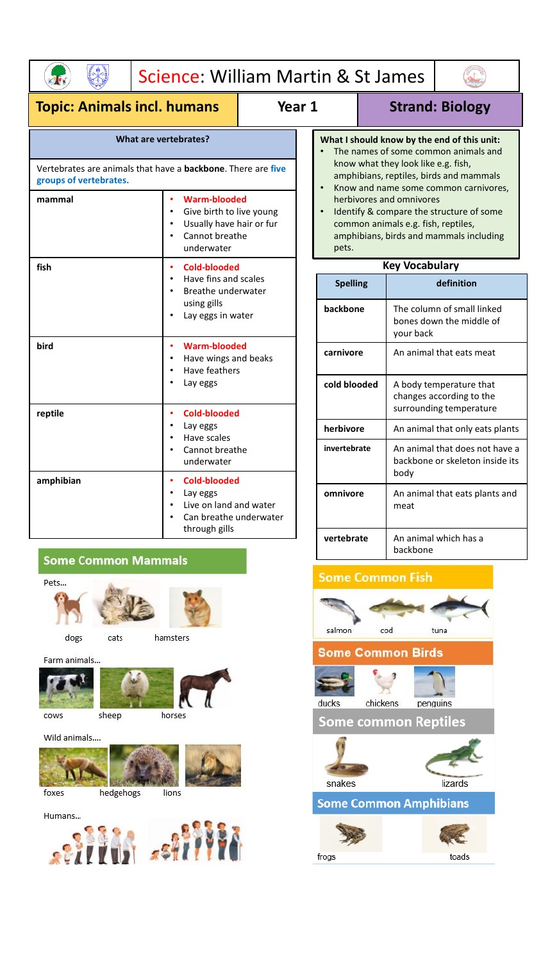

# Science: William Martin & St James

# **Topic: Animals incl. humans Year 1 Strand: Biology**

 $\begin{pmatrix} 1 \\ 1 \end{pmatrix}$ 

### **What are vertebrates?**

Vertebrates are animals that have a **backbone**. There are **five groups of vertebrates.**

| mammal    | <b>Warm-blooded</b><br>Give birth to live young<br>Usually have hair or fur<br>Cannot breathe<br>underwater |
|-----------|-------------------------------------------------------------------------------------------------------------|
| fish      | Cold-blooded<br>Have fins and scales<br>Breathe underwater<br>using gills<br>Lay eggs in water              |
| bird      | Warm-blooded<br>Have wings and beaks<br>Have feathers<br>Lay eggs                                           |
| reptile   | Cold-blooded<br>Lay eggs<br>Have scales<br>Cannot breathe<br>underwater                                     |
| amphibian | Cold-blooded<br>Lay eggs<br>Live on land and water<br>Can breathe underwater<br>through gills               |

## **Some Common Mammals**

cats

Pets...





hamsters

dogs

Farm animals...



cows





Wild animals....



foxes



- **What I should know by the end of this unit:** The names of some common animals and know what they look like e.g. fish, amphibians, reptiles, birds and mammals
- Know and name some common carnivores, herbivores and omnivores
- Identify & compare the structure of some common animals e.g. fish, reptiles, amphibians, birds and mammals including pets.

## **Key Vocabulary**

| <b>Spelling</b> | definition                                                                     |
|-----------------|--------------------------------------------------------------------------------|
| backbone        | The column of small linked<br>bones down the middle of<br>your back            |
| carnivore       | An animal that eats meat                                                       |
| cold blooded    | A body temperature that<br>changes according to the<br>surrounding temperature |
| herbivore       | An animal that only eats plants                                                |
| invertebrate    | An animal that does not have a<br>backbone or skeleton inside its<br>body      |
| omnivore        | An animal that eats plants and<br>meat                                         |
| vertebrate      | An animal which has a<br>backbone                                              |

# **Some Common Fish**

frogs



toads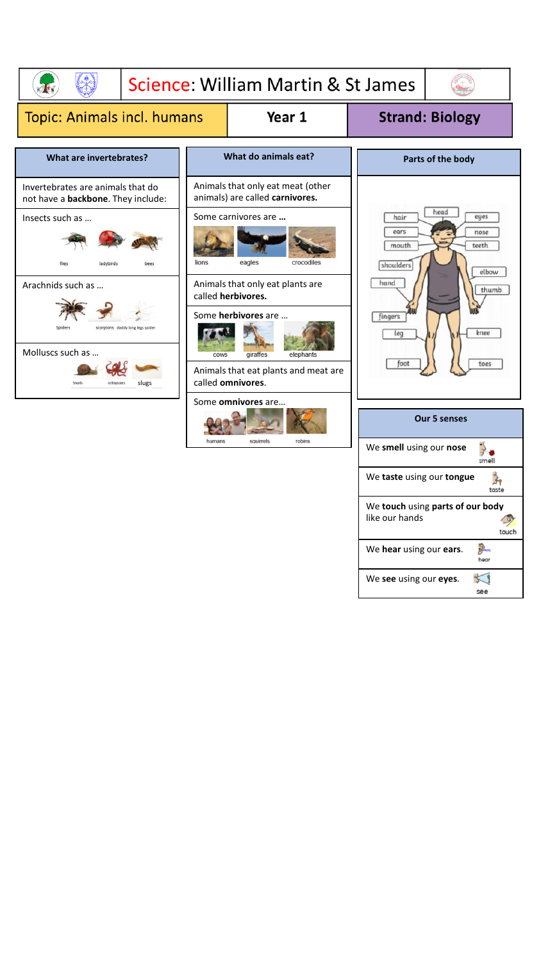

We **see** using our **eyes**.

5  $see$